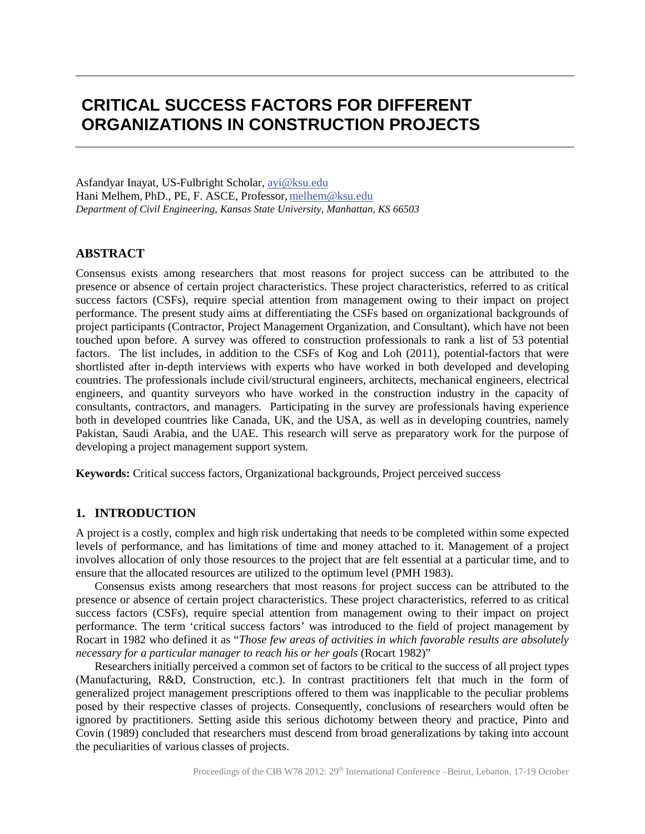## **CRITICAL SUCCESS FACTORS FOR DIFFERENT ORGANIZATIONS IN CONSTRUCTION PROJECTS**

Asfandyar Inayat, US-Fulbright Scholar, ayi@ksu.edu Hani Melhem*,* PhD., PE, F. ASCE, Professor, melhem@ksu.edu *Department of Civil Engineering, Kansas State University, Manhattan, KS 66503*

## **ABSTRACT**

Consensus exists among researchers that most reasons for project success can be attributed to the presence or absence of certain project characteristics. These project characteristics, referred to as critical success factors (CSFs), require special attention from management owing to their impact on project performance. The present study aims at differentiating the CSFs based on organizational backgrounds of project participants (Contractor, Project Management Organization, and Consultant), which have not been touched upon before. A survey was offered to construction professionals to rank a list of 53 potential factors. The list includes, in addition to the CSFs of Kog and Loh (2011), potential-factors that were shortlisted after in-depth interviews with experts who have worked in both developed and developing countries. The professionals include civil/structural engineers, architects, mechanical engineers, electrical engineers, and quantity surveyors who have worked in the construction industry in the capacity of consultants, contractors, and managers. Participating in the survey are professionals having experience both in developed countries like Canada, UK, and the USA, as well as in developing countries, namely Pakistan, Saudi Arabia, and the UAE. This research will serve as preparatory work for the purpose of developing a project management support system.

**Keywords:** Critical success factors, Organizational backgrounds, Project perceived success

#### **1. INTRODUCTION**

A project is a costly, complex and high risk undertaking that needs to be completed within some expected levels of performance, and has limitations of time and money attached to it. Management of a project involves allocation of only those resources to the project that are felt essential at a particular time, and to ensure that the allocated resources are utilized to the optimum level (PMH 1983).

Consensus exists among researchers that most reasons for project success can be attributed to the presence or absence of certain project characteristics. These project characteristics, referred to as critical success factors (CSFs), require special attention from management owing to their impact on project performance. The term 'critical success factors' was introduced to the field of project management by Rocart in 1982 who defined it as "*Those few areas of activities in which favorable results are absolutely necessary for a particular manager to reach his or her goals* (Rocart 1982)"

Researchers initially perceived a common set of factors to be critical to the success of all project types (Manufacturing, R&D, Construction, etc.). In contrast practitioners felt that much in the form of generalized project management prescriptions offered to them was inapplicable to the peculiar problems posed by their respective classes of projects. Consequently, conclusions of researchers would often be ignored by practitioners. Setting aside this serious dichotomy between theory and practice, Pinto and Covin (1989) concluded that researchers must descend from broad generalizations by taking into account the peculiarities of various classes of projects.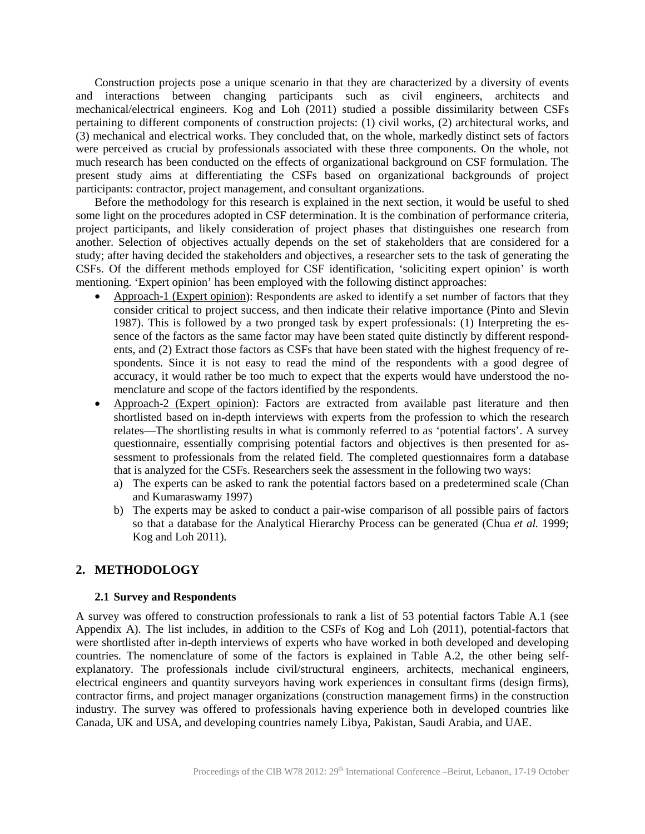Construction projects pose a unique scenario in that they are characterized by a diversity of events and interactions between changing participants such as civil engineers, architects and mechanical/electrical engineers. Kog and Loh (2011) studied a possible dissimilarity between CSFs pertaining to different components of construction projects: (1) civil works, (2) architectural works, and (3) mechanical and electrical works. They concluded that, on the whole, markedly distinct sets of factors were perceived as crucial by professionals associated with these three components. On the whole, not much research has been conducted on the effects of organizational background on CSF formulation. The present study aims at differentiating the CSFs based on organizational backgrounds of project participants: contractor, project management, and consultant organizations.

Before the methodology for this research is explained in the next section, it would be useful to shed some light on the procedures adopted in CSF determination. It is the combination of performance criteria, project participants, and likely consideration of project phases that distinguishes one research from another. Selection of objectives actually depends on the set of stakeholders that are considered for a study; after having decided the stakeholders and objectives, a researcher sets to the task of generating the CSFs. Of the different methods employed for CSF identification, 'soliciting expert opinion' is worth mentioning. 'Expert opinion' has been employed with the following distinct approaches:

- Approach-1 (Expert opinion): Respondents are asked to identify a set number of factors that they consider critical to project success, and then indicate their relative importance (Pinto and Slevin 1987). This is followed by a two pronged task by expert professionals: (1) Interpreting the essence of the factors as the same factor may have been stated quite distinctly by different respondents, and (2) Extract those factors as CSFs that have been stated with the highest frequency of respondents. Since it is not easy to read the mind of the respondents with a good degree of accuracy, it would rather be too much to expect that the experts would have understood the nomenclature and scope of the factors identified by the respondents.
- Approach-2 (Expert opinion): Factors are extracted from available past literature and then shortlisted based on in-depth interviews with experts from the profession to which the research relates—The shortlisting results in what is commonly referred to as 'potential factors'. A survey questionnaire, essentially comprising potential factors and objectives is then presented for assessment to professionals from the related field. The completed questionnaires form a database that is analyzed for the CSFs. Researchers seek the assessment in the following two ways:
	- a) The experts can be asked to rank the potential factors based on a predetermined scale (Chan and Kumaraswamy 1997)
	- b) The experts may be asked to conduct a pair-wise comparison of all possible pairs of factors so that a database for the Analytical Hierarchy Process can be generated (Chua *et al.* 1999; Kog and Loh 2011).

## **2. METHODOLOGY**

#### **2.1 Survey and Respondents**

A survey was offered to construction professionals to rank a list of 53 potential factors Table A.1 (see Appendix A). The list includes, in addition to the CSFs of Kog and Loh (2011), potential-factors that were shortlisted after in-depth interviews of experts who have worked in both developed and developing countries. The nomenclature of some of the factors is explained in Table A.2, the other being selfexplanatory. The professionals include civil/structural engineers, architects, mechanical engineers, electrical engineers and quantity surveyors having work experiences in consultant firms (design firms), contractor firms, and project manager organizations (construction management firms) in the construction industry. The survey was offered to professionals having experience both in developed countries like Canada, UK and USA, and developing countries namely Libya, Pakistan, Saudi Arabia, and UAE.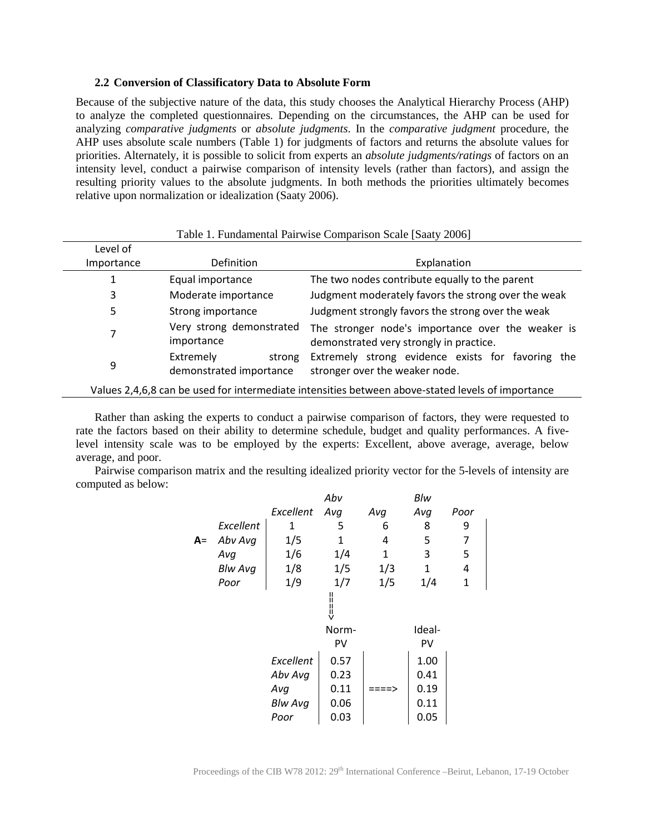#### **2.2 Conversion of Classificatory Data to Absolute Form**

Because of the subjective nature of the data, this study chooses the Analytical Hierarchy Process (AHP) to analyze the completed questionnaires. Depending on the circumstances, the AHP can be used for analyzing *comparative judgments* or *absolute judgments*. In the *comparative judgment* procedure, the AHP uses absolute scale numbers (Table 1) for judgments of factors and returns the absolute values for priorities. Alternately, it is possible to solicit from experts an *absolute judgments/ratings* of factors on an intensity level, conduct a pairwise comparison of intensity levels (rather than factors), and assign the resulting priority values to the absolute judgments. In both methods the priorities ultimately becomes relative upon normalization or idealization (Saaty 2006).

| Table 1. Fundamental Pairwise Comparison Scale [Saaty 2006] |                                                |                                                                                                   |  |  |
|-------------------------------------------------------------|------------------------------------------------|---------------------------------------------------------------------------------------------------|--|--|
| Level of                                                    |                                                |                                                                                                   |  |  |
| Importance                                                  | <b>Definition</b>                              | Explanation                                                                                       |  |  |
|                                                             | Equal importance                               | The two nodes contribute equally to the parent                                                    |  |  |
| 3                                                           | Moderate importance                            | Judgment moderately favors the strong over the weak                                               |  |  |
| 5                                                           | Strong importance                              | Judgment strongly favors the strong over the weak                                                 |  |  |
| 7                                                           | Very strong demonstrated<br>importance         | The stronger node's importance over the weaker is<br>demonstrated very strongly in practice.      |  |  |
| 9                                                           | Extremely<br>strong<br>demonstrated importance | Extremely strong evidence exists for favoring the<br>stronger over the weaker node.               |  |  |
|                                                             |                                                | Values 2,4,6,8 can be used for intermediate intensities between above-stated levels of importance |  |  |

Rather than asking the experts to conduct a pairwise comparison of factors, they were requested to rate the factors based on their ability to determine schedule, budget and quality performances. A fivelevel intensity scale was to be employed by the experts: Excellent, above average, average, below average, and poor.

Pairwise comparison matrix and the resulting idealized priority vector for the 5-levels of intensity are computed as below:

|    |                |           | Abv   |     | Blw          |              |
|----|----------------|-----------|-------|-----|--------------|--------------|
|    |                | Excellent | Avg   | Avg | Avg          | Poor         |
|    | Excellent      | 1         | 5     | 6   | 8            | 9            |
| A= | Abv Avg        | 1/5       | 1     | 4   | 5            | 7            |
|    | Avg            | 1/6       | 1/4   | 1   | 3            | 5            |
|    | <b>Blw Avg</b> | 1/8       | 1/5   | 1/3 | $\mathbf{1}$ | 4            |
|    | Poor           | 1/9       | 1/7   | 1/5 | 1/4          | $\mathbf{1}$ |
|    |                |           |       |     |              |              |
|    |                |           | Norm- |     | Ideal-       |              |
|    |                |           | PV    |     | PV           |              |
|    |                | Excellent | 0.57  |     | 1.00         |              |
|    |                | Abv Avg   | 0.23  |     | 0.41         |              |
|    |                | Avg       | 0.11  |     | 0.19         |              |
|    |                | Blw Avg   | 0.06  |     | 0.11         |              |
|    |                | Poor      | 0.03  |     | 0.05         |              |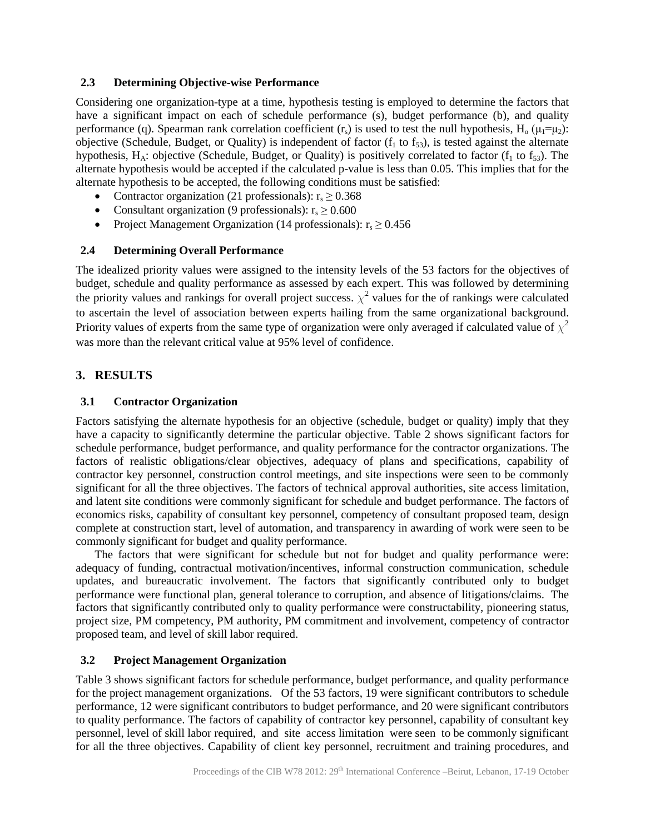#### **2.3 Determining Objective-wise Performance**

Considering one organization-type at a time, hypothesis testing is employed to determine the factors that have a significant impact on each of schedule performance (s), budget performance (b), and quality performance (q). Spearman rank correlation coefficient  $(r_s)$  is used to test the null hypothesis, H<sub>0</sub> ( $\mu_1 = \mu_2$ ): objective (Schedule, Budget, or Quality) is independent of factor  $(f_1$  to  $f_3$ ), is tested against the alternate hypothesis,  $H_A$ : objective (Schedule, Budget, or Quality) is positively correlated to factor ( $f_1$  to  $f_{53}$ ). The alternate hypothesis would be accepted if the calculated p-value is less than 0.05. This implies that for the alternate hypothesis to be accepted, the following conditions must be satisfied:

- Contractor organization (21 professionals):  $r_s \geq 0.368$
- Consultant organization (9 professionals):  $r_s \ge 0.600$
- Project Management Organization (14 professionals):  $r_s \ge 0.456$

## **2.4 Determining Overall Performance**

The idealized priority values were assigned to the intensity levels of the 53 factors for the objectives of budget, schedule and quality performance as assessed by each expert. This was followed by determining the priority values and rankings for overall project success.  $\chi^2$  values for the of rankings were calculated to ascertain the level of association between experts hailing from the same organizational background. Priority values of experts from the same type of organization were only averaged if calculated value of  $\chi^2$ was more than the relevant critical value at 95% level of confidence.

## **3. RESULTS**

## **3.1 Contractor Organization**

Factors satisfying the alternate hypothesis for an objective (schedule, budget or quality) imply that they have a capacity to significantly determine the particular objective. Table 2 shows significant factors for schedule performance, budget performance, and quality performance for the contractor organizations. The factors of realistic obligations/clear objectives, adequacy of plans and specifications, capability of contractor key personnel, construction control meetings, and site inspections were seen to be commonly significant for all the three objectives. The factors of technical approval authorities, site access limitation, and latent site conditions were commonly significant for schedule and budget performance. The factors of economics risks, capability of consultant key personnel, competency of consultant proposed team, design complete at construction start, level of automation, and transparency in awarding of work were seen to be commonly significant for budget and quality performance.

The factors that were significant for schedule but not for budget and quality performance were: adequacy of funding, contractual motivation/incentives, informal construction communication, schedule updates, and bureaucratic involvement. The factors that significantly contributed only to budget performance were functional plan, general tolerance to corruption, and absence of litigations/claims. The factors that significantly contributed only to quality performance were constructability, pioneering status, project size, PM competency, PM authority, PM commitment and involvement, competency of contractor proposed team, and level of skill labor required.

## **3.2 Project Management Organization**

Table 3 shows significant factors for schedule performance, budget performance, and quality performance for the project management organizations. Of the 53 factors, 19 were significant contributors to schedule performance, 12 were significant contributors to budget performance, and 20 were significant contributors to quality performance. The factors of capability of contractor key personnel, capability of consultant key personnel, level of skill labor required, and site access limitation were seen to be commonly significant for all the three objectives. Capability of client key personnel, recruitment and training procedures, and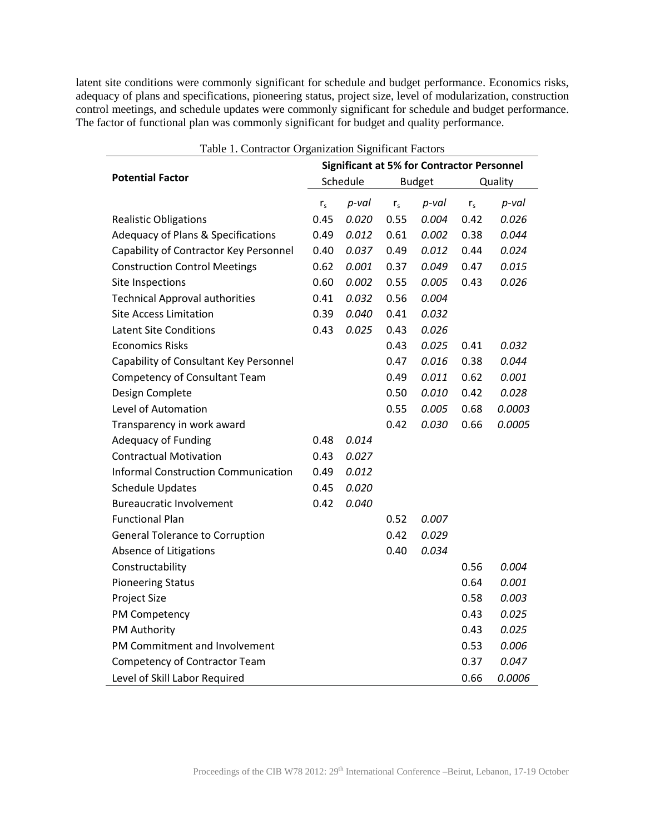latent site conditions were commonly significant for schedule and budget performance. Economics risks, adequacy of plans and specifications, pioneering status, project size, level of modularization, construction control meetings, and schedule updates were commonly significant for schedule and budget performance. The factor of functional plan was commonly significant for budget and quality performance.

| Table 1. Contractor Organization Significant Factors |         |                                                   |         |               |         |          |  |  |
|------------------------------------------------------|---------|---------------------------------------------------|---------|---------------|---------|----------|--|--|
| <b>Potential Factor</b>                              |         | <b>Significant at 5% for Contractor Personnel</b> |         |               |         |          |  |  |
|                                                      |         | Schedule                                          |         | <b>Budget</b> |         | Quality  |  |  |
|                                                      | $r_{s}$ | p-val                                             | $r_{s}$ | $p$ -val      | $r_{s}$ | $p$ -val |  |  |
| <b>Realistic Obligations</b>                         | 0.45    | 0.020                                             | 0.55    | 0.004         | 0.42    | 0.026    |  |  |
| <b>Adequacy of Plans &amp; Specifications</b>        | 0.49    | 0.012                                             | 0.61    | 0.002         | 0.38    | 0.044    |  |  |
| Capability of Contractor Key Personnel               | 0.40    | 0.037                                             | 0.49    | 0.012         | 0.44    | 0.024    |  |  |
| <b>Construction Control Meetings</b>                 | 0.62    | 0.001                                             | 0.37    | 0.049         | 0.47    | 0.015    |  |  |
| <b>Site Inspections</b>                              | 0.60    | 0.002                                             | 0.55    | 0.005         | 0.43    | 0.026    |  |  |
| <b>Technical Approval authorities</b>                | 0.41    | 0.032                                             | 0.56    | 0.004         |         |          |  |  |
| <b>Site Access Limitation</b>                        | 0.39    | 0.040                                             | 0.41    | 0.032         |         |          |  |  |
| <b>Latent Site Conditions</b>                        | 0.43    | 0.025                                             | 0.43    | 0.026         |         |          |  |  |
| <b>Economics Risks</b>                               |         |                                                   | 0.43    | 0.025         | 0.41    | 0.032    |  |  |
| Capability of Consultant Key Personnel               |         |                                                   | 0.47    | 0.016         | 0.38    | 0.044    |  |  |
| <b>Competency of Consultant Team</b>                 |         |                                                   | 0.49    | 0.011         | 0.62    | 0.001    |  |  |
| Design Complete                                      |         |                                                   | 0.50    | 0.010         | 0.42    | 0.028    |  |  |
| Level of Automation                                  |         |                                                   | 0.55    | 0.005         | 0.68    | 0.0003   |  |  |
| Transparency in work award                           |         |                                                   | 0.42    | 0.030         | 0.66    | 0.0005   |  |  |
| <b>Adequacy of Funding</b>                           | 0.48    | 0.014                                             |         |               |         |          |  |  |
| <b>Contractual Motivation</b>                        | 0.43    | 0.027                                             |         |               |         |          |  |  |
| <b>Informal Construction Communication</b>           | 0.49    | 0.012                                             |         |               |         |          |  |  |
| <b>Schedule Updates</b>                              | 0.45    | 0.020                                             |         |               |         |          |  |  |
| <b>Bureaucratic Involvement</b>                      | 0.42    | 0.040                                             |         |               |         |          |  |  |
| <b>Functional Plan</b>                               |         |                                                   | 0.52    | 0.007         |         |          |  |  |
| <b>General Tolerance to Corruption</b>               |         |                                                   | 0.42    | 0.029         |         |          |  |  |
| Absence of Litigations                               |         |                                                   | 0.40    | 0.034         |         |          |  |  |
| Constructability                                     |         |                                                   |         |               | 0.56    | 0.004    |  |  |
| <b>Pioneering Status</b>                             |         |                                                   |         |               | 0.64    | 0.001    |  |  |
| Project Size                                         |         |                                                   |         |               | 0.58    | 0.003    |  |  |
| PM Competency                                        |         |                                                   |         |               | 0.43    | 0.025    |  |  |
| PM Authority                                         |         |                                                   |         |               | 0.43    | 0.025    |  |  |
| PM Commitment and Involvement                        |         |                                                   |         |               | 0.53    | 0.006    |  |  |
| <b>Competency of Contractor Team</b>                 |         |                                                   |         |               | 0.37    | 0.047    |  |  |
| Level of Skill Labor Required                        |         |                                                   |         |               | 0.66    | 0.0006   |  |  |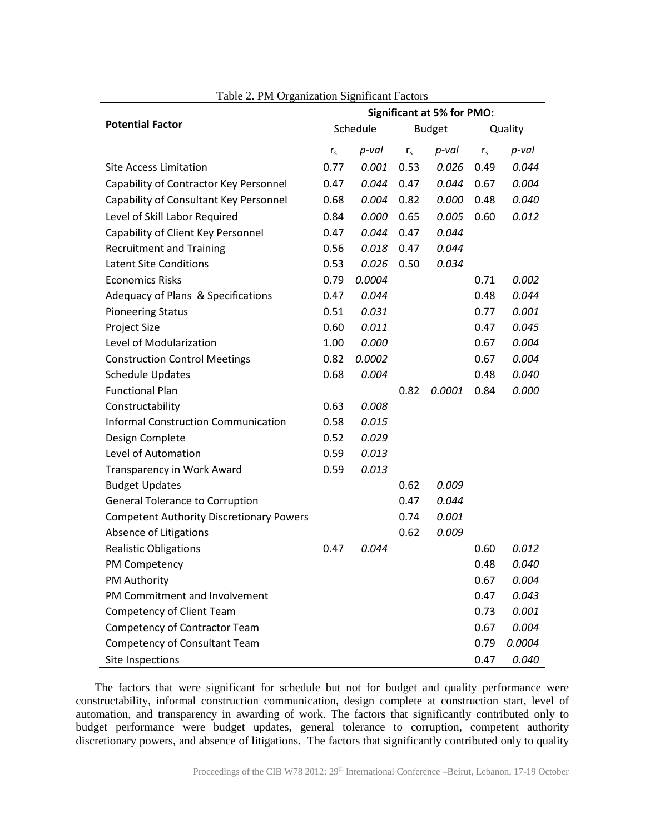| <b>Potential Factor</b>                         |                | <b>Significant at 5% for PMO:</b> |                |               |                |         |  |
|-------------------------------------------------|----------------|-----------------------------------|----------------|---------------|----------------|---------|--|
|                                                 |                | Schedule                          |                | <b>Budget</b> |                | Quality |  |
|                                                 | r <sub>s</sub> | p-val                             | r <sub>s</sub> | $p$ -val      | r <sub>s</sub> | p-val   |  |
| <b>Site Access Limitation</b>                   | 0.77           | 0.001                             | 0.53           | 0.026         | 0.49           | 0.044   |  |
| Capability of Contractor Key Personnel          | 0.47           | 0.044                             | 0.47           | 0.044         | 0.67           | 0.004   |  |
| Capability of Consultant Key Personnel          | 0.68           | 0.004                             | 0.82           | 0.000         | 0.48           | 0.040   |  |
| Level of Skill Labor Required                   | 0.84           | 0.000                             | 0.65           | 0.005         | 0.60           | 0.012   |  |
| Capability of Client Key Personnel              | 0.47           | 0.044                             | 0.47           | 0.044         |                |         |  |
| <b>Recruitment and Training</b>                 | 0.56           | 0.018                             | 0.47           | 0.044         |                |         |  |
| <b>Latent Site Conditions</b>                   | 0.53           | 0.026                             | 0.50           | 0.034         |                |         |  |
| <b>Economics Risks</b>                          | 0.79           | 0.0004                            |                |               | 0.71           | 0.002   |  |
| Adequacy of Plans & Specifications              | 0.47           | 0.044                             |                |               | 0.48           | 0.044   |  |
| <b>Pioneering Status</b>                        | 0.51           | 0.031                             |                |               | 0.77           | 0.001   |  |
| Project Size                                    | 0.60           | 0.011                             |                |               | 0.47           | 0.045   |  |
| Level of Modularization                         | 1.00           | 0.000                             |                |               | 0.67           | 0.004   |  |
| <b>Construction Control Meetings</b>            | 0.82           | 0.0002                            |                |               | 0.67           | 0.004   |  |
| <b>Schedule Updates</b>                         | 0.68           | 0.004                             |                |               | 0.48           | 0.040   |  |
| <b>Functional Plan</b>                          |                |                                   | 0.82           | 0.0001        | 0.84           | 0.000   |  |
| Constructability                                | 0.63           | 0.008                             |                |               |                |         |  |
| <b>Informal Construction Communication</b>      | 0.58           | 0.015                             |                |               |                |         |  |
| Design Complete                                 | 0.52           | 0.029                             |                |               |                |         |  |
| Level of Automation                             | 0.59           | 0.013                             |                |               |                |         |  |
| Transparency in Work Award                      | 0.59           | 0.013                             |                |               |                |         |  |
| <b>Budget Updates</b>                           |                |                                   | 0.62           | 0.009         |                |         |  |
| <b>General Tolerance to Corruption</b>          |                |                                   | 0.47           | 0.044         |                |         |  |
| <b>Competent Authority Discretionary Powers</b> |                |                                   | 0.74           | 0.001         |                |         |  |
| Absence of Litigations                          |                |                                   | 0.62           | 0.009         |                |         |  |
| <b>Realistic Obligations</b>                    | 0.47           | 0.044                             |                |               | 0.60           | 0.012   |  |
| PM Competency                                   |                |                                   |                |               | 0.48           | 0.040   |  |
| PM Authority                                    |                |                                   |                |               | 0.67           | 0.004   |  |
| PM Commitment and Involvement                   |                |                                   |                |               | 0.47           | 0.043   |  |
| Competency of Client Team                       |                |                                   |                |               | 0.73           | 0.001   |  |
| <b>Competency of Contractor Team</b>            |                |                                   |                |               | 0.67           | 0.004   |  |
| Competency of Consultant Team                   |                |                                   |                |               | 0.79           | 0.0004  |  |
| Site Inspections                                |                |                                   |                |               | 0.47           | 0.040   |  |

Table 2. PM Organization Significant Factors

The factors that were significant for schedule but not for budget and quality performance were constructability, informal construction communication, design complete at construction start, level of automation, and transparency in awarding of work. The factors that significantly contributed only to budget performance were budget updates, general tolerance to corruption, competent authority discretionary powers, and absence of litigations. The factors that significantly contributed only to quality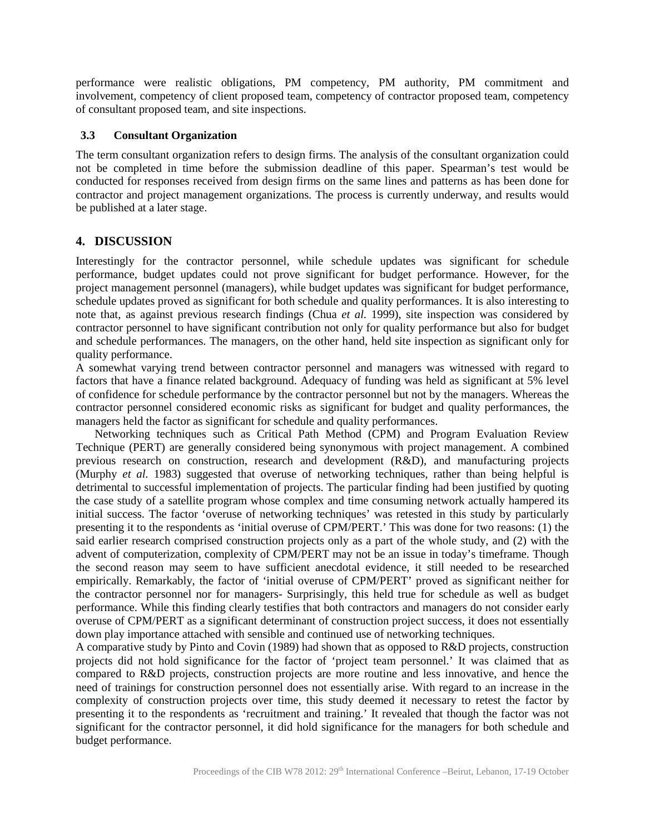performance were realistic obligations, PM competency, PM authority, PM commitment and involvement, competency of client proposed team, competency of contractor proposed team, competency of consultant proposed team, and site inspections.

#### **3.3 Consultant Organization**

The term consultant organization refers to design firms. The analysis of the consultant organization could not be completed in time before the submission deadline of this paper. Spearman's test would be conducted for responses received from design firms on the same lines and patterns as has been done for contractor and project management organizations. The process is currently underway, and results would be published at a later stage.

## **4. DISCUSSION**

Interestingly for the contractor personnel, while schedule updates was significant for schedule performance, budget updates could not prove significant for budget performance. However, for the project management personnel (managers), while budget updates was significant for budget performance, schedule updates proved as significant for both schedule and quality performances. It is also interesting to note that, as against previous research findings (Chua *et al.* 1999), site inspection was considered by contractor personnel to have significant contribution not only for quality performance but also for budget and schedule performances. The managers, on the other hand, held site inspection as significant only for quality performance.

A somewhat varying trend between contractor personnel and managers was witnessed with regard to factors that have a finance related background. Adequacy of funding was held as significant at 5% level of confidence for schedule performance by the contractor personnel but not by the managers. Whereas the contractor personnel considered economic risks as significant for budget and quality performances, the managers held the factor as significant for schedule and quality performances.

Networking techniques such as Critical Path Method (CPM) and Program Evaluation Review Technique (PERT) are generally considered being synonymous with project management. A combined previous research on construction, research and development (R&D), and manufacturing projects (Murphy *et al.* 1983) suggested that overuse of networking techniques, rather than being helpful is detrimental to successful implementation of projects. The particular finding had been justified by quoting the case study of a satellite program whose complex and time consuming network actually hampered its initial success. The factor 'overuse of networking techniques' was retested in this study by particularly presenting it to the respondents as 'initial overuse of CPM/PERT.' This was done for two reasons: (1) the said earlier research comprised construction projects only as a part of the whole study, and (2) with the advent of computerization, complexity of CPM/PERT may not be an issue in today's timeframe. Though the second reason may seem to have sufficient anecdotal evidence, it still needed to be researched empirically. Remarkably, the factor of 'initial overuse of CPM/PERT' proved as significant neither for the contractor personnel nor for managers- Surprisingly, this held true for schedule as well as budget performance. While this finding clearly testifies that both contractors and managers do not consider early overuse of CPM/PERT as a significant determinant of construction project success, it does not essentially down play importance attached with sensible and continued use of networking techniques.

A comparative study by Pinto and Covin (1989) had shown that as opposed to R&D projects, construction projects did not hold significance for the factor of 'project team personnel.' It was claimed that as compared to R&D projects, construction projects are more routine and less innovative, and hence the need of trainings for construction personnel does not essentially arise. With regard to an increase in the complexity of construction projects over time, this study deemed it necessary to retest the factor by presenting it to the respondents as 'recruitment and training.' It revealed that though the factor was not significant for the contractor personnel, it did hold significance for the managers for both schedule and budget performance.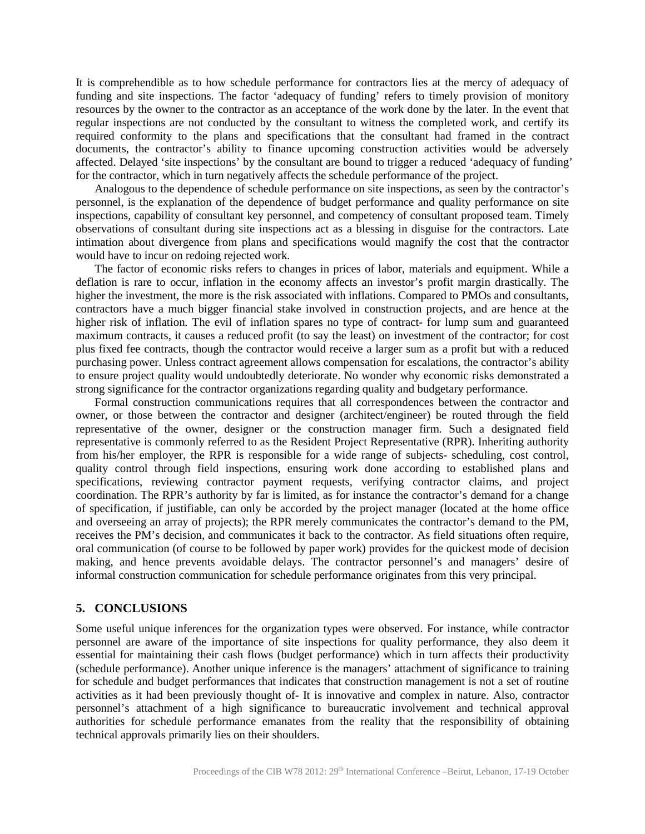It is comprehendible as to how schedule performance for contractors lies at the mercy of adequacy of funding and site inspections. The factor 'adequacy of funding' refers to timely provision of monitory resources by the owner to the contractor as an acceptance of the work done by the later. In the event that regular inspections are not conducted by the consultant to witness the completed work, and certify its required conformity to the plans and specifications that the consultant had framed in the contract documents, the contractor's ability to finance upcoming construction activities would be adversely affected. Delayed 'site inspections' by the consultant are bound to trigger a reduced 'adequacy of funding' for the contractor, which in turn negatively affects the schedule performance of the project.

Analogous to the dependence of schedule performance on site inspections, as seen by the contractor's personnel, is the explanation of the dependence of budget performance and quality performance on site inspections, capability of consultant key personnel, and competency of consultant proposed team. Timely observations of consultant during site inspections act as a blessing in disguise for the contractors. Late intimation about divergence from plans and specifications would magnify the cost that the contractor would have to incur on redoing rejected work.

The factor of economic risks refers to changes in prices of labor, materials and equipment. While a deflation is rare to occur, inflation in the economy affects an investor's profit margin drastically. The higher the investment, the more is the risk associated with inflations. Compared to PMOs and consultants, contractors have a much bigger financial stake involved in construction projects, and are hence at the higher risk of inflation. The evil of inflation spares no type of contract- for lump sum and guaranteed maximum contracts, it causes a reduced profit (to say the least) on investment of the contractor; for cost plus fixed fee contracts, though the contractor would receive a larger sum as a profit but with a reduced purchasing power. Unless contract agreement allows compensation for escalations, the contractor's ability to ensure project quality would undoubtedly deteriorate. No wonder why economic risks demonstrated a strong significance for the contractor organizations regarding quality and budgetary performance.

Formal construction communications requires that all correspondences between the contractor and owner, or those between the contractor and designer (architect/engineer) be routed through the field representative of the owner, designer or the construction manager firm. Such a designated field representative is commonly referred to as the Resident Project Representative (RPR). Inheriting authority from his/her employer, the RPR is responsible for a wide range of subjects- scheduling, cost control, quality control through field inspections, ensuring work done according to established plans and specifications, reviewing contractor payment requests, verifying contractor claims, and project coordination. The RPR's authority by far is limited, as for instance the contractor's demand for a change of specification, if justifiable, can only be accorded by the project manager (located at the home office and overseeing an array of projects); the RPR merely communicates the contractor's demand to the PM, receives the PM's decision, and communicates it back to the contractor. As field situations often require, oral communication (of course to be followed by paper work) provides for the quickest mode of decision making, and hence prevents avoidable delays. The contractor personnel's and managers' desire of informal construction communication for schedule performance originates from this very principal.

## **5. CONCLUSIONS**

Some useful unique inferences for the organization types were observed. For instance, while contractor personnel are aware of the importance of site inspections for quality performance, they also deem it essential for maintaining their cash flows (budget performance) which in turn affects their productivity (schedule performance). Another unique inference is the managers' attachment of significance to training for schedule and budget performances that indicates that construction management is not a set of routine activities as it had been previously thought of- It is innovative and complex in nature. Also, contractor personnel's attachment of a high significance to bureaucratic involvement and technical approval authorities for schedule performance emanates from the reality that the responsibility of obtaining technical approvals primarily lies on their shoulders.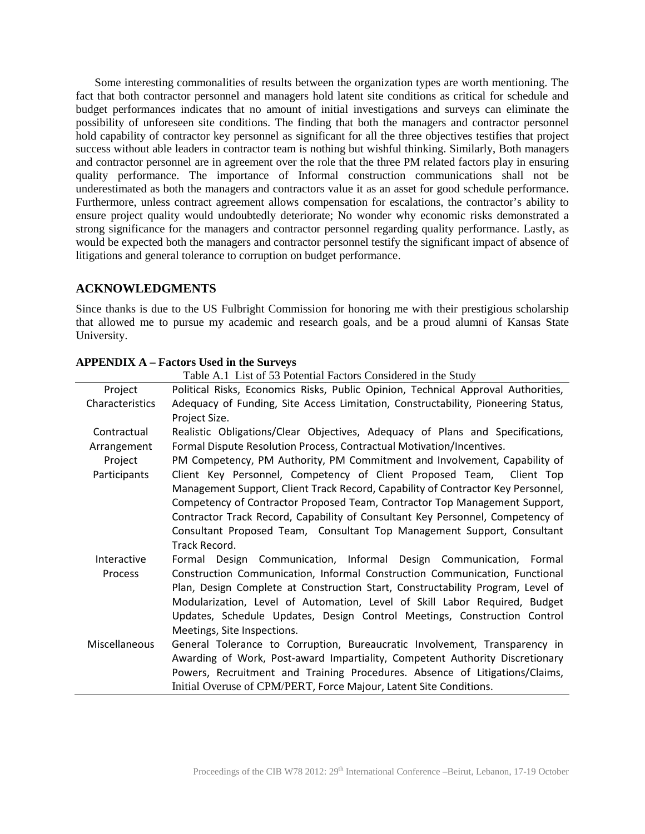Some interesting commonalities of results between the organization types are worth mentioning. The fact that both contractor personnel and managers hold latent site conditions as critical for schedule and budget performances indicates that no amount of initial investigations and surveys can eliminate the possibility of unforeseen site conditions. The finding that both the managers and contractor personnel hold capability of contractor key personnel as significant for all the three objectives testifies that project success without able leaders in contractor team is nothing but wishful thinking. Similarly, Both managers and contractor personnel are in agreement over the role that the three PM related factors play in ensuring quality performance. The importance of Informal construction communications shall not be underestimated as both the managers and contractors value it as an asset for good schedule performance. Furthermore, unless contract agreement allows compensation for escalations, the contractor's ability to ensure project quality would undoubtedly deteriorate; No wonder why economic risks demonstrated a strong significance for the managers and contractor personnel regarding quality performance. Lastly, as would be expected both the managers and contractor personnel testify the significant impact of absence of litigations and general tolerance to corruption on budget performance.

## **ACKNOWLEDGMENTS**

Since thanks is due to the US Fulbright Commission for honoring me with their prestigious scholarship that allowed me to pursue my academic and research goals, and be a proud alumni of Kansas State University.

|                      | Table A.1 List of 53 Potential Factors Considered in the Study                    |
|----------------------|-----------------------------------------------------------------------------------|
| Project              | Political Risks, Economics Risks, Public Opinion, Technical Approval Authorities, |
| Characteristics      | Adequacy of Funding, Site Access Limitation, Constructability, Pioneering Status, |
|                      | Project Size.                                                                     |
| Contractual          | Realistic Obligations/Clear Objectives, Adequacy of Plans and Specifications,     |
| Arrangement          | Formal Dispute Resolution Process, Contractual Motivation/Incentives.             |
| Project              | PM Competency, PM Authority, PM Commitment and Involvement, Capability of         |
| Participants         | Client Key Personnel, Competency of Client Proposed Team, Client Top              |
|                      | Management Support, Client Track Record, Capability of Contractor Key Personnel,  |
|                      | Competency of Contractor Proposed Team, Contractor Top Management Support,        |
|                      | Contractor Track Record, Capability of Consultant Key Personnel, Competency of    |
|                      | Consultant Proposed Team, Consultant Top Management Support, Consultant           |
|                      | Track Record.                                                                     |
| Interactive          | Formal Design Communication, Informal Design Communication, Formal                |
| Process              | Construction Communication, Informal Construction Communication, Functional       |
|                      | Plan, Design Complete at Construction Start, Constructability Program, Level of   |
|                      | Modularization, Level of Automation, Level of Skill Labor Required, Budget        |
|                      | Updates, Schedule Updates, Design Control Meetings, Construction Control          |
|                      | Meetings, Site Inspections.                                                       |
| <b>Miscellaneous</b> | General Tolerance to Corruption, Bureaucratic Involvement, Transparency in        |
|                      | Awarding of Work, Post-award Impartiality, Competent Authority Discretionary      |
|                      | Powers, Recruitment and Training Procedures. Absence of Litigations/Claims,       |
|                      | Initial Overuse of CPM/PERT, Force Majour, Latent Site Conditions.                |

#### **APPENDIX A – Factors Used in the Surveys**